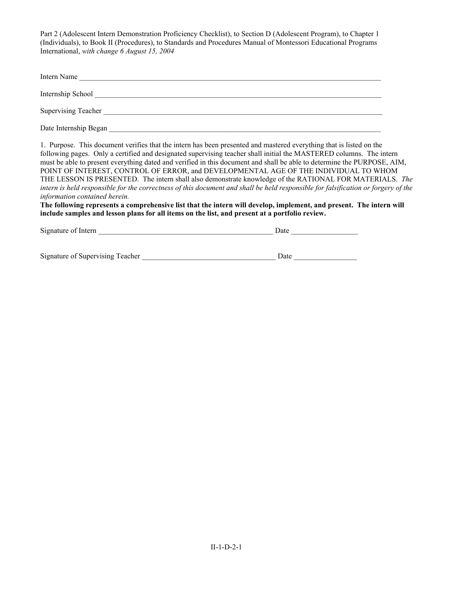| Intern Name           |
|-----------------------|
| Internship School     |
| Supervising Teacher   |
| Date Internship Began |

1. Purpose. This document verifies that the intern has been presented and mastered everything that is listed on the following pages. Only a certified and designated supervising teacher shall initial the MASTERED columns. The intern must be able to present everything dated and verified in this document and shall be able to determine the PURPOSE, AIM, POINT OF INTEREST, CONTROL OF ERROR, and DEVELOPMENTAL AGE OF THE INDIVIDUAL TO WHOM THE LESSON IS PRESENTED. The intern shall also demonstrate knowledge of the RATIONAL FOR MATERIALS. *The intern is held responsible for the correctness of this document and shall be held responsible for falsification or forgery of the information contained herein.*

**The following represents a comprehensive list that the intern will develop, implement, and present. The intern will include samples and lesson plans for all items on the list, and present at a portfolio review.** 

| Signature of Intern | Date |  |
|---------------------|------|--|
|                     |      |  |
|                     |      |  |

| Signature of Supervising Teacher |  | Jate |
|----------------------------------|--|------|
|----------------------------------|--|------|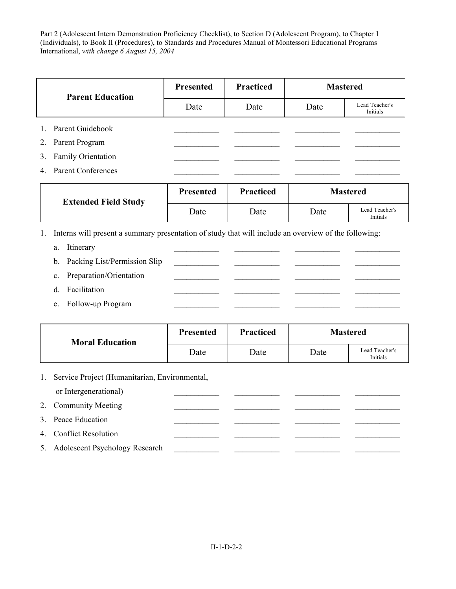| <b>Parent Education</b>        | Presented | <b>Practiced</b> |      | <b>Mastered</b>            |
|--------------------------------|-----------|------------------|------|----------------------------|
|                                | Date      | Date             | Date | Lead Teacher's<br>Initials |
| 1. Parent Guidebook            |           |                  |      |                            |
| 2. Parent Program              |           |                  |      |                            |
| 3. Family Orientation          |           |                  |      |                            |
| <b>Parent Conferences</b><br>4 |           |                  |      |                            |

| <b>Extended Field Study</b> | <b>Presented</b> | <b>Practiced</b> | <b>Mastered</b> |                            |
|-----------------------------|------------------|------------------|-----------------|----------------------------|
|                             | Date             | Date             | Date            | Lead Teacher's<br>Initials |

- 1. Interns will present a summary presentation of study that will include an overview of the following:
	- a. Itinerary
	- b. Packing List/Permission Slip c. Preparation/Orientation
	- d. Facilitation
	-
	- e. Follow-up Program

| <b>Moral Education</b> | Presented | <b>Practiced</b> | <b>Mastered</b> |                            |
|------------------------|-----------|------------------|-----------------|----------------------------|
|                        | Date      | Date             | Date            | Lead Teacher's<br>Initials |

1. Service Project (Humanitarian, Environmental, or Intergenerational)

## 2. Community Meeting \_\_\_\_\_\_\_\_\_\_\_ \_\_\_\_\_\_\_\_\_\_\_ \_\_\_\_\_\_\_\_\_\_\_ \_\_\_\_\_\_\_\_\_\_\_

- 3. Peace Education
- 4. Conflict Resolution
- 5. Adolescent Psychology Research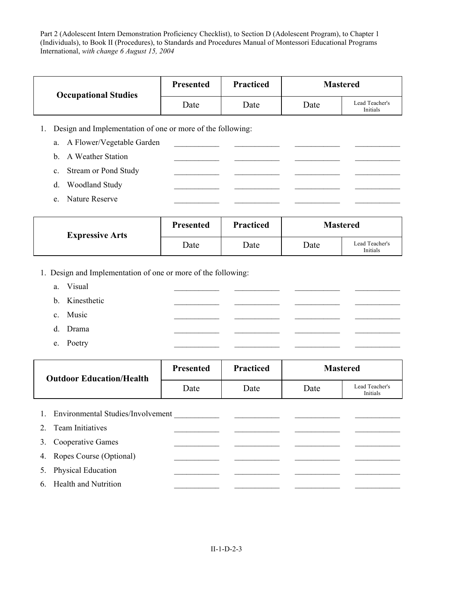| <b>Occupational Studies</b> | <b>Presented</b> | <b>Practiced</b> |      | <b>Mastered</b>            |
|-----------------------------|------------------|------------------|------|----------------------------|
|                             | Date             | Date             | Date | Lead Teacher's<br>Initials |

1. Design and Implementation of one or more of the following:

|         | a. A Flower/Vegetable Garden |  |  |
|---------|------------------------------|--|--|
|         | b. A Weather Station         |  |  |
|         | c. Stream or Pond Study      |  |  |
| d.      | <b>Woodland Study</b>        |  |  |
| $e_{-}$ | Nature Reserve               |  |  |

| <b>Expressive Arts</b> | <b>Presented</b> | <b>Practiced</b> |      | <b>Mastered</b>            |
|------------------------|------------------|------------------|------|----------------------------|
|                        | Date             | Date             | Date | Lead Teacher's<br>Initials |

1. Design and Implementation of one or more of the following:

| a. Visual      |  |  |
|----------------|--|--|
| b. Kinesthetic |  |  |
| c. Music       |  |  |
| d. Drama       |  |  |
| e. Poetry      |  |  |

| <b>Outdoor Education/Health</b> | <b>Presented</b> | <b>Practiced</b> |      | <b>Mastered</b>            |
|---------------------------------|------------------|------------------|------|----------------------------|
|                                 | Date             | Date             | Date | Lead Teacher's<br>Initials |

| 1. Environmental Studies/Involvement |  |  |
|--------------------------------------|--|--|
| 2. Team Initiatives                  |  |  |
| 3. Cooperative Games                 |  |  |
| 4. Ropes Course (Optional)           |  |  |
| 5. Physical Education                |  |  |
| 6. Health and Nutrition              |  |  |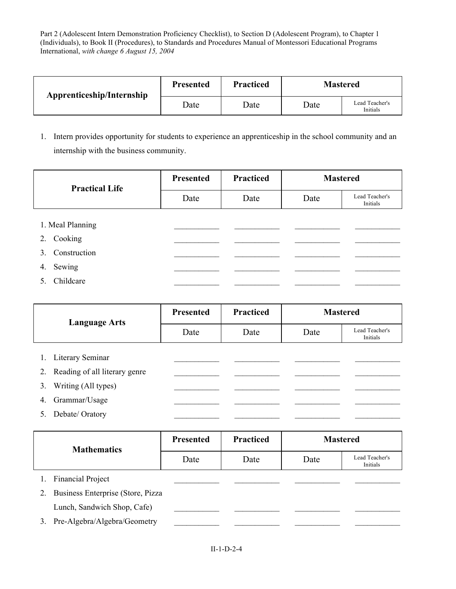| Apprenticeship/Internship | <b>Presented</b> | <b>Practiced</b> | <b>Mastered</b> |                            |
|---------------------------|------------------|------------------|-----------------|----------------------------|
|                           | Date             | Date             | Date            | Lead Teacher's<br>Initials |

1. Intern provides opportunity for students to experience an apprenticeship in the school community and an internship with the business community.

| <b>Practical Life</b> | <b>Presented</b> | <b>Practiced</b> | <b>Mastered</b> |                            |  |
|-----------------------|------------------|------------------|-----------------|----------------------------|--|
|                       | Date             | Date             | Date            | Lead Teacher's<br>Initials |  |
|                       |                  |                  |                 |                            |  |
|                       | 1. Meal Planning |                  |                 |                            |  |
| 2.                    | Cooking          |                  |                 |                            |  |
| $3_{-}$               | Construction     |                  |                 |                            |  |
| 4.                    | Sewing           |                  |                 |                            |  |
| 5.                    | Childcare        |                  |                 |                            |  |

| <b>Language Arts</b> | <b>Presented</b>              | <b>Practiced</b> | <b>Mastered</b> |      |                            |
|----------------------|-------------------------------|------------------|-----------------|------|----------------------------|
|                      |                               | Date             | Date            | Date | Lead Teacher's<br>Initials |
|                      |                               |                  |                 |      |                            |
|                      | Literary Seminar              |                  |                 |      |                            |
| 2.                   | Reading of all literary genre |                  |                 |      |                            |
| 3.                   | Writing (All types)           |                  |                 |      |                            |
| 4.                   | Grammar/Usage                 |                  |                 |      |                            |
| 5.                   | Debate/Oratory                |                  |                 |      |                            |

|    | <b>Mathematics</b>                | <b>Presented</b> | <b>Practiced</b> |      | <b>Mastered</b>            |
|----|-----------------------------------|------------------|------------------|------|----------------------------|
|    |                                   | Date             | Date             | Date | Lead Teacher's<br>Initials |
|    | <b>Financial Project</b>          |                  |                  |      |                            |
| 2. | Business Enterprise (Store, Pizza |                  |                  |      |                            |
|    | Lunch, Sandwich Shop, Cafe)       |                  |                  |      |                            |
| 3. | Pre-Algebra/Algebra/Geometry      |                  |                  |      |                            |